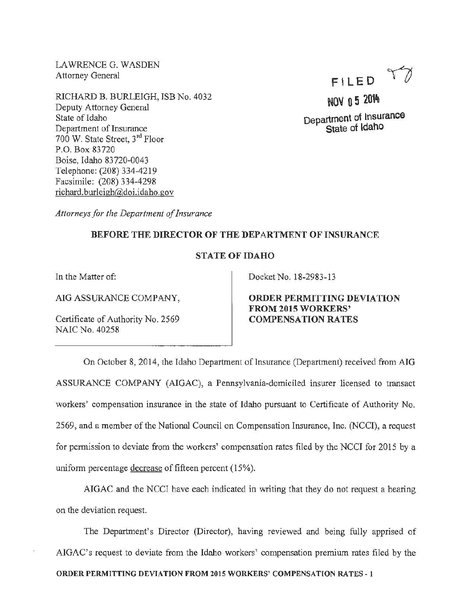LAWRENCE G. WASDEN Attorney General

RICHARD B. BURLEIGH, ISB No. 4032 Deputy Attorney General State of Idaho Department of Insurance 700 W. State Street, 3rd Floor P.O. Box 83720 Boise, Idaho 83 720-0043 Telephone: (208) 334-4219 Facsimile: (208) 334-4298 richard.burleigh@doi.idaho.gov

FILED  $T$ 

NOV 0 5 2014 Department of Insurance State ot Idaho

*Attorneys for the Department of Insurance* 

## BEFORE THE DIRECTOR OF THE DEPARTMENT OF INSURANCE

## STATE OF IDAHO

In the Matter of:

AIG ASSURANCE COMPANY,

Certificate of Authority No. 2569 NAIC No. 40258

Docket No. 18-2983-13

ORDER PERMITTING DEVIATION FROM 2015 WORKERS' COMPENSATION RATES

On October 8, 2014, the Idaho Department of Insurance (Department) received from AIG ASSURANCE COMPANY (AIGAC), a Pennsylvania-domiciled insurer licensed to transact workers' compensation insurance in the state of Idaho pursuant to Certificate of Authority No. 2569, and a member of the National Council on Compensation Insurance, Inc. (NCCI), a request for permission to deviate from the workers' compensation rates filed by the NCCI for 2015 by a uniform percentage decrease of fifteen percent (15%).

AIGAC and the NCCI have each indicated in writing that they do not request a hearing on the deviation request.

The Department's Director (Director), having reviewed and being fully apprised of AIGAC's request to deviate from the Idaho workers' compensation premium rates filed by the ORDER PERMITTING DEVIATION FROM 2015 WORKERS' COMPENSATION RATES- I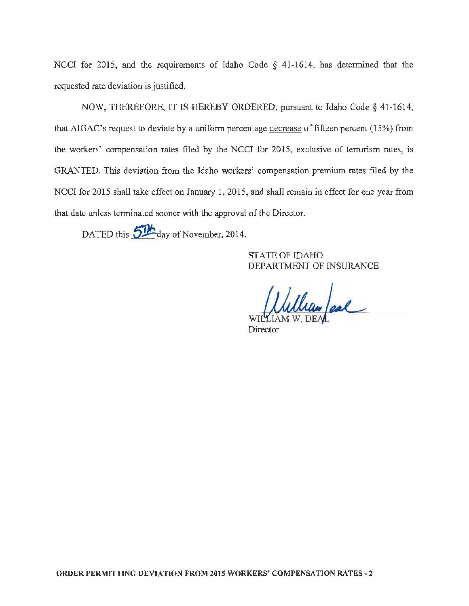NCCI for 2015, and the requirements of Idaho Code  $\S$  41-1614, has determined that the requested rate deviation is justified.

NOW, THEREFORE, IT IS HEREBY ORDERED, pursuant to Idaho Code § 41-1614, that AIGAC's request to deviate by a uniform percentage decrease of fifteen percent  $(15%)$  from the workers' compensation rates filed by the NCCI for 2015, exclusive of terrorism rates, is GRANTED. This deviation from the Idaho workers' compensation premium rates filed by the NCCJ for 2015 shall take effect on January 1, 2015, and shall remain in effect for one year from that date unless terminated sooner with the approval of the Director.

DATED this 5<sup>11</sup> day of November, 2014.

STATE OF IDAHO DEPARTMENT OF INSURANCE

William ear

Director